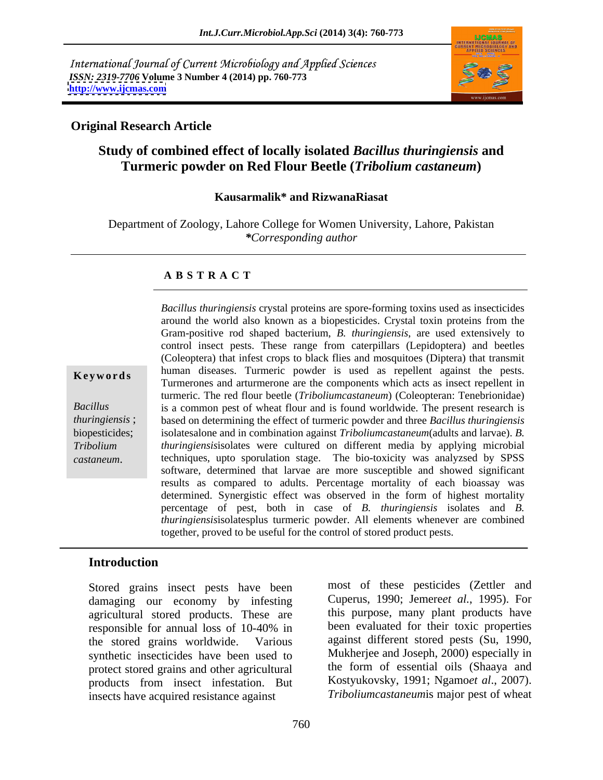International Journal of Current Microbiology and Applied Sciences *ISSN: 2319-7706* **Volume 3 Number 4 (2014) pp. 760-773 <http://www.ijcmas.com>**



### **Original Research Article**

# **Study of combined effect of locally isolated** *Bacillus thuringiensis* **and Turmeric powder on Red Flour Beetle (***Tribolium castaneum***)**

### **Kausarmalik\* and RizwanaRiasat**

Department of Zoology, Lahore College for Women University, Lahore, Pakistan *\*Corresponding author* 

### **A B S T R A C T**

**Keywords** human diseases. Turmeric powder is used as repellent against the pests. *Bacillus*  is a common pest of wheat flour and is found worldwide.The present research is *thuringiensis* ; based on determining the effect of turmeric powder and three *Bacillus thuringiensis* biopesticides; isolatesalone and in combination against *Triboliumcastaneum*(adults and larvae). *B. Tribolium thuringiensis*isolates were cultured on different media by applying microbial *Castaneum Bacillus thuringiensis* crystal proteins are spore-forming toxins used as insecticides<br>around the world also known as a biopesticides. Crystal toxin proteins from the<br>Gram-positive rod shaped bacterium, *B. th* around the world also known as a biopesticides. Crystal toxin proteins from the Gram-positive rod shaped bacterium, *B. thuringiensis*, are used extensively to control insect pests. These range from caterpillars (Lepidoptera) and beetles (Coleoptera) that infest crops to black flies and mosquitoes (Diptera) that transmit Turmerones and arturmerone are the components which acts as insect repellent in turmeric. The red flour beetle (*Triboliumcastaneum*) (Coleopteran: Tenebrionidae) techniques, upto sporulation stage. The bio-toxicity was analyzsed by SPSS software, determined that larvae are more susceptible and showed significant results as compared to adults. Percentage mortality of each bioassay was determined. Synergistic effect was observed in the form of highest mortality percentage of pest, both in case of *B. thuringiensis* isolates and *B. thuringiensis*isolatesplus turmeric powder. All elements whenever are combined together, proved to be useful for the control of stored product pests.

### **Introduction**

Stored grains insect pests have been damaging our economy by infesting agricultural stored products. These are responsible for annual loss of 10-40% in been evaluated for their toxic properties the stored grains worldwide. Various against different stored pests (Su, 1990, synthetic insecticides have been used to protect stored grains and other agricultural products from insect infestation. But insects have acquired resistance against

most of these pesticides (Zettler and Cuperus, 1990; Jemere*et al.*, 1995). For this purpose, many plant products have been evaluated for their toxic properties Mukherjee and Joseph, 2000) especially in the form of essential oils (Shaaya and Kostyukovsky, 1991; Ngamo*et al*., 2007). *Triboliumcastaneum*is major pest of wheat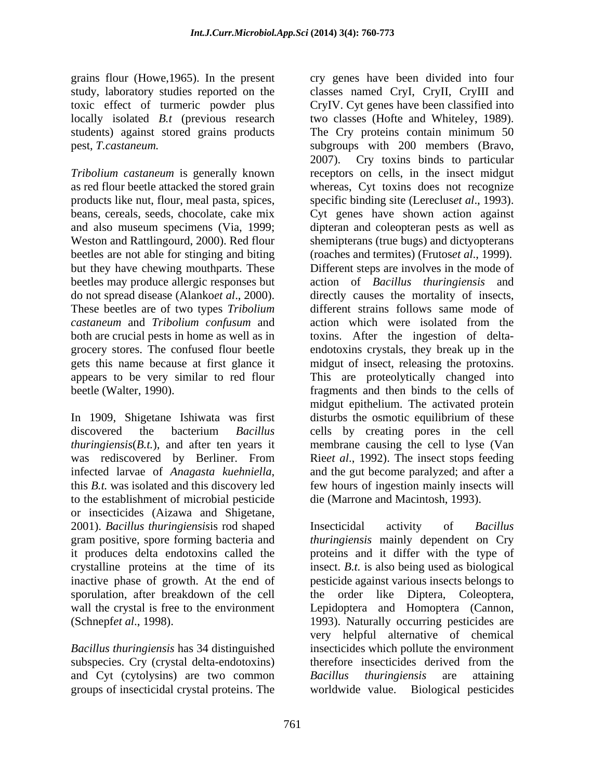grains flour (Howe,1965). In the present cry genes have been divided into four students) against stored grains products The Cry proteins contain minimum 50

and also museum specimens (Via, 1999; These beetles are of two types *Tribolium castaneum* and *Tribolium confusum* and

was rediscovered by Berliner. From to the establishment of microbial pesticide or insecticides (Aizawa and Shigetane, 2001). *Bacillus thuringiensis*is rod shaped gram positive, spore forming bacteria and *thuringiensis* mainly dependent on Cry it produces delta endotoxins called the proteins and it differ with the type of crystalline proteins at the time of its insect. *B.t.* is also being used as biological inactive phase of growth. At the end of pesticide against various insects belongs to sporulation, after breakdown of the cell the order like Diptera, Coleoptera, wall the crystal is free to the environment Lepidoptera and Homoptera (Cannon,

*Bacillus thuringiensis* has 34 distinguished subspecies. Cry (crystal delta-endotoxins) therefore insecticides derived from the and Cyt (cytolysins) are two common *Bacillus thuringiensis* are attaining

study, laboratory studies reported on the classes named CryI, CryII, CryIII and toxic effect of turmeric powder plus CryIV. Cyt genes have been classified into locally isolated *B.t* (previous research two classes (Hofte and Whiteley, 1989). pest, *T.castaneum.* subgroups with 200 members (Bravo, *Tribolium castaneum* is generally known receptors on cells, in the insect midgut as red flour beetle attacked the stored grain whereas, Cyt toxins does not recognize products like nut, flour, meal pasta, spices, specific binding site (Lereclus*et al*., 1993). beans, cereals, seeds, chocolate, cake mix Cyt genes have shown action against Weston and Rattlingourd, 2000). Red flour shemipterans (true bugs) and dictyopterans beetles are not able for stinging and biting (roaches and termites) (Frutos*et al*., 1999). but they have chewing mouthparts. These Different steps are involves in the mode of beetles may produce allergic responses but action of *Bacillus thuringiensis* and do not spread disease (Alanko*et al*., 2000). directly causes the mortality of insects, both are crucial pests in home as well as in toxins. After the ingestion of delta grocery stores. The confused flour beetle endotoxins crystals, they break up in the gets this name because at first glance it midgut of insect, releasing the protoxins. appears to be very similar to red flour This are proteolytically changed into beetle (Walter, 1990). fragments and then binds to the cells of In 1909, Shigetane Ishiwata was first disturbs the osmotic equilibrium of these discovered the bacterium *Bacillus*  cells by creating pores in the cell *thuringiensis*(*B.t.*), and after ten years it membrane causing the cell to lyse (Van infected larvae of *Anagasta kuehniella*, and the gut become paralyzed; and after a this *B.t.* was isolated and this discovery led few hours of ingestion mainly insects will The Cry proteins contain minimum 50 2007). Cry toxins binds to particular dipteran and coleopteran pests as well as different strains follows same mode of action which were isolated from the midgut epithelium. The activated protein Rie*et al*., 1992). The insect stops feeding and the gut become paralyzed; and after a few hours of ingestion mainly insects will die (Marrone and Macintosh, 1993).

(Schnepf*et al*., 1998). 1993). Naturally occurring pesticides are groups of insecticidal crystal proteins. The worldwide value. Biological pesticidesInsecticidal activity of *Bacillus*  very helpful alternative of chemical insecticides which pollute the environment therefore insecticides derived from the *Bacillus thuringiensis* are attaining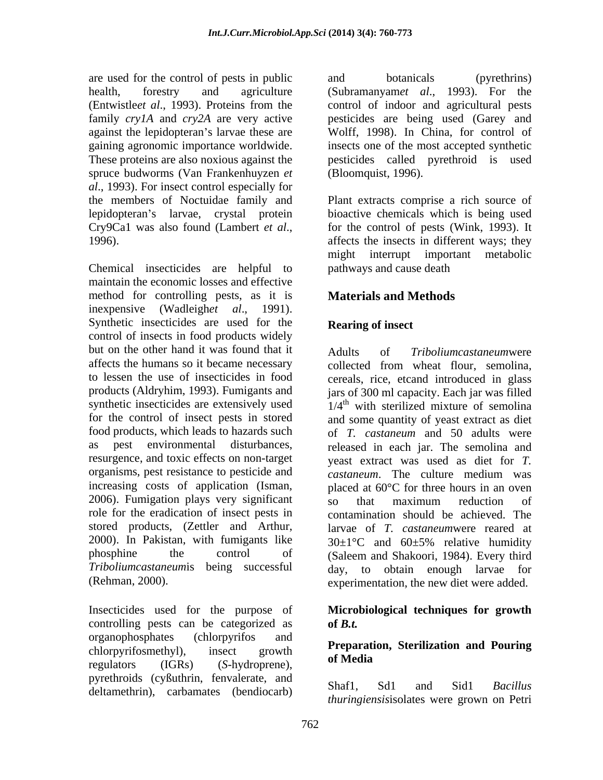are used for the control of pests in public and botanicals (pyrethrins) spruce budworms (Van Frankenhuyzen *et al*., 1993). For insect control especially for lepidopteran's larvae, crystal protein

Chemical insecticides are helpful to maintain the economic losses and effective method for controlling pests, as it is **Materials and Methods** inexpensive (Wadleigh*et al*., 1991). Synthetic insecticides are used for the control of insects in food products widely but on the other hand it was found that it Adults of affects the humans so it became necessary collected from wheat flour, semolina, to lessen the use of insecticides in food cereals, rice, etcand introduced in glass products (Aldryhim, 1993). Fumigants and jars of 300 ml capacity. Each jar was filled synthetic insecticides are extensively used  $1/4<sup>th</sup>$  with sterilized mixture of semolina for the control of insect pests in stored and some quantity of yeast extract as diet food products, which leads to hazards such of *T. castaneum* and 50 adults were as pest environmental disturbances, released in each jar. The semolina and resurgence, and toxic effects on non-target yeast extract was used as diet for *T*. organisms, pest resistance to pesticide and castaneum. The culture medium was increasing costs of application (Isman, placed at 60°C for three hours in an oven 2006). Fumigation plays very significant  $\overline{so}$  that maximum reduction of role for the eradication of insect pests in stored products, (Zettler and Arthur, 2000). In Pakistan, with fumigants like  $30 \pm 1^{\circ}$ C and  $60 \pm 5\%$  relative humidity phosphine the control of (Saleem and Shakoori, 1984). Every third *Triboliumcastaneum*is being successful day, to obtain enough larvae for

Insecticides used for the purpose of **Microbiological techniques for growth** controlling pests can be categorized as of B.t. organophosphates (chlorpyrifos and chlorpyrifosmethyl), insect growth  $\mathbf{r}$  reparation, stermization and rouring regulators (IGRs) (*S*-hydroprene), pyrethroids (cyßuthrin, fenvalerate, and<br>delteration) explorates (bardioseph) Shaf1, Sd1 and Sid1 Bacillus deltamethrin), carbamates (bendiocarb)

health, forestry and agriculture (Subramanyam*et al*., 1993). For the (Entwistle*et al*., 1993). Proteins from the control of indoor and agricultural pests family *cry1A* and *cry2A* are very active pesticides are being used (Garey and against the lepidopteran's larvae these are Wolff, 1998). In China, for control of gaining agronomic importance worldwide. insects one of the most accepted synthetic These proteins are also noxious against the pesticides called pyrethroid is used and botanicals (pyrethrins) (Bloomquist, 1996).

the members of Noctuidae family and Plant extracts comprise a rich source of Cry9Ca1 was also found (Lambert *et al.*, for the control of pests (Wink, 1993). It affects the insects in different ways; they bioactive chemicals which is being used for the control of pests (Wink, 1993). It affects the insects in different ways; they might interrupt important metabolic pathways and cause death

# **Materials and Methods**

# **Rearing of insect**

(Rehman, 2000). experimentation, the new diet were added.  $Triboliumcastaneumwere$ collected from wheat flour, semolina, *castaneum*. The culture medium was so that maximum reduction of contamination should be achieved. The larvae of *T. castaneum*were reared at  $30\pm1\degree C$  and  $60\pm5\%$  relative humidity

# **of** *B.t.*

### **Preparation, Sterilization and Pouring of Media**

Shaf1, Sd1 and Sid1 *Bacillus thuringiensis*isolates were grown on Petri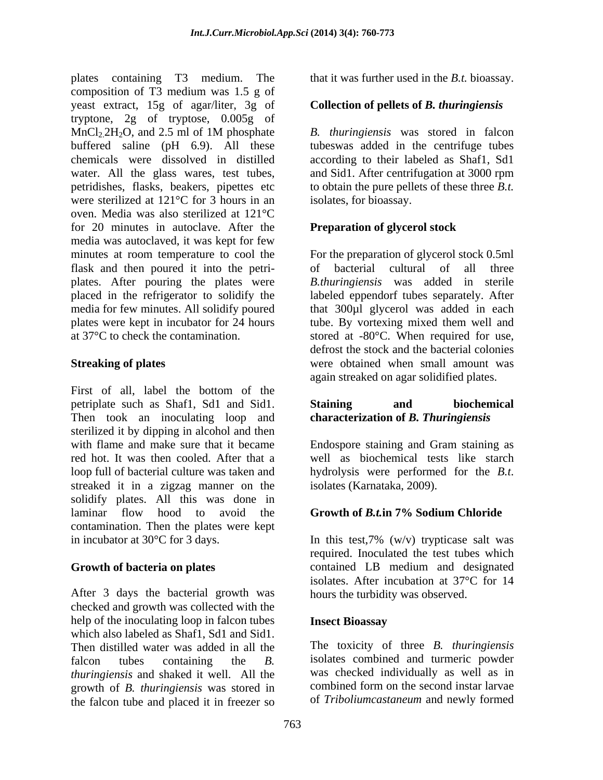plates containing T3 medium. The that it was further used in the *B.t.* bioassay. composition of T3 medium was 1.5 g of yeast extract, 15g of agar/liter, 3g of **Collection of pellets of** *B. thuringiensis* tryptone, 2g of tryptose, 0.005g of  $MnCl<sub>2</sub>2H<sub>2</sub>O$ , and 2.5 ml of 1M phosphate  $B$ . *thuringiensis* was stored in falcon buffered saline (pH 6.9). All these tubeswas added in the centrifuge tubes chemicals were dissolved in distilled according to their labeled as Shaf1, Sd1 water. All the glass wares, test tubes, and Sid1. After centrifugation at 3000 rpm petridishes, flasks, beakers, pipettes etc to obtain the pure pellets of these three *B.t.* were sterilized at 121°C for 3 hours in an oven. Media was also sterilized at 121°C for 20 minutes in autoclave. After the media was autoclaved, it was kept for few minutes at room temperature to cool the For the preparation of glycerol stock 0.5ml flask and then poured it into the petri- of bacterial cultural of all three plates. After pouring the plates were *B.thuringiensis* was added in sterile placed in the refrigerator to solidify the labeled eppendorf tubes separately. After media for few minutes. All solidify poured that 300µl glycerol was added in each plates were kept in incubator for 24 hours tube. By vortexing mixed them well and

First of all, label the bottom of the petriplate such as Shaf1, Sd1 and Sid1. Then took an inoculating loop and sterilized it by dipping in alcohol and then with flame and make sure that it became Endospore staining and Gram staining as red hot. It was then cooled. After that a well as biochemical tests like starch loop full of bacterial culture was taken and hydrolysis were performed for the B.t. streaked it in a zigzag manner on the isolates (Karnataka, 2009). solidify plates. All this was done in laminar flow hood to avoid the **Growth of B.t. in 7% Sodium Chloride** contamination. Then the plates were kept

After 3 days the bacterial growth was checked and growth was collected with the help of the inoculating loop in falcon tubes **Insect Bioassay** which also labeled as Shaf1, Sd1 and Sid1. Then distilled water was added in all the The toxicity of three *B. thuringiensis* falcon tubes containing the *B*. isolates combined and turmeric powder<br>*thuringiensis* and shaked it well. All the was checked individually as well as in growth of *B. thuringiensis* was stored in the falcon tube and placed it in freezer so

*B. thuringiensis* was stored in falcon isolates, for bioassay.

### **Preparation of glycerol stock**

at 37°C to check the contamination. stored at -80°C. When required for use, **Streaking of plates** were obtained when small amount was of bacterial cultural of all three defrost the stock and the bacterial colonies again streaked on agar solidified plates.

### **Staining and biochemical characterization of** *B. Thuringiensis*

Endospore staining and Gram staining as hydrolysis were performed for the *B.t*. isolates (Karnataka, 2009).

### **Growth of** *B.t.***in 7% Sodium Chloride**

in incubator at 30°C for 3 days. In this test,7% (w/v) trypticase salt was Growth of bacteria on plates **Contained** LB medium and designated required. Inoculated the test tubes which contained LB medium and designated isolates. After incubation at 37°C for 14 hours the turbidity was observed.

### **Insect Bioassay**

isolates combined and turmeric powder was checked individually as well as in combined form on the second instar larvae of *Triboliumcastaneum* and newly formed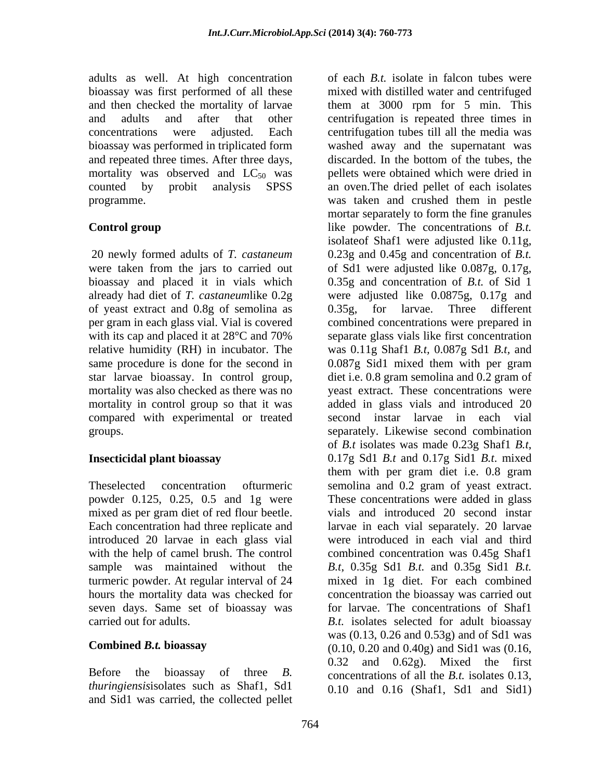adults as well. At high concentration bioassay was first performed of all these bioassay was performed in triplicated form and repeated three times. After three days, discarded. In the bottom of the tubes, the mortality was observed and  $LC_{50}$  was

of yeast extract and 0.8g of semolina as per gram in each glass vial. Vial is covered same procedure is done for the second in 0.087g Sid1 mixed them with per gram mortality in control group so that it was compared with experimental or treated

powder 0.125, 0.25, 0.5 and 1g were introduced 20 larvae in each glass vial seven days. Same set of bioassay was

and Sid1 was carried, the collected pellet

and then checked the mortality of larvae them at 3000 rpm for 5 min. This and adults and after that other centrifugation is repeated three times in concentrations were adjusted. Each centrifugation tubes till all the media was counted by probit analysis SPSS an oven.The dried pellet of each isolates programme. was taken and crushed them in pestle **Control group** like powder. The concentrations of *B.t.*  20 newly formed adults of *T. castaneum* 0.23g and 0.45g and concentration of *B.t.*  were taken from the jars to carried out of Sd1 were adjusted like 0.087g, 0.17g, bioassay and placed it in vials which 0.35g and concentration of *B.t.* of Sid 1 already had diet of *T. castaneum*like 0.2g were adjusted like 0.0875g, 0.17g and with its cap and placed it at 28<sup>o</sup>C and 70% separate glass vials like first concentration relative humidity (RH) in incubator. The was 0.11g Shaf1 *B.t,* 0.087g Sd1 *B.t,* and star larvae bioassay. In control group, diet i.e. 0.8 gram semolina and 0.2 gram of mortality was also checked as there was no yeast extract. These concentrations were groups. separately. Likewise second combination **Insecticidal plant bioassay** 0.17g Sd1 *B.t* and 0.17g Sid1 *B.t.* mixed Theselected concentration ofturmeric semolina and 0.2 gram of yeast extract. mixed as per gram diet of red flour beetle. vials and introduced 20 second instar Each concentration had three replicate and larvae in each vial separately. 20 larvae with the help of camel brush. The control combined concentration was 0.45g Shaf1 sample was maintained without the *B.t*, 0.35g Sd1 *B.t.* and 0.35g Sid1 *B.t.* turmeric powder. At regular interval of 24 mixed in 1g diet. For each combined hours the mortality data was checked for concentration the bioassay was carried out carried out for adults. *B.t.* isolates selected for adult bioassay **Combined** *B.t.* **bioassay** (0.10, 0.20 and 0.40g) and Sid1 was (0.16, Before the bioassay of three *B*. concentrations of all the *B.t.* isolates 0.13, *thuringiensis* isolates such as Shaf1, Sd1 and 0.16 (Shaf1, Sd1 and Sid1) of each *B.t.* isolate in falcon tubes were mixed with distilled water and centrifuged washed away and the supernatant was discarded. In the bottom of the tubes, the pellets were obtained which were dried in mortar separately to form the fine granules isolateof Shaf1 were adjusted like 0.11g, 0.35g, for larvae. Three different combined concentrations were prepared in separate glass vials like first concentration 0.087g Sid1 mixed them with per gram added in glass vials and introduced 20 second instar larvae in each vial of *B.t* isolates was made 0.23g Shaf1 *B.t*, 0.17g Sd1 *B.t* and 0.17g Sid1 *B.t*. mixed them with per gram diet i.e. 0.8 gram These concentrations were added in glass were introduced in each vial and third for larvae. The concentrations of Shaf1 was (0.13, 0.26 and 0.53g) and of Sd1 was 0.32 and 0.62g). Mixed the first concentrations of all the *B.t.* isolates 0.13, 0.10 and 0.16 (Shaf1, Sd1 and Sid1)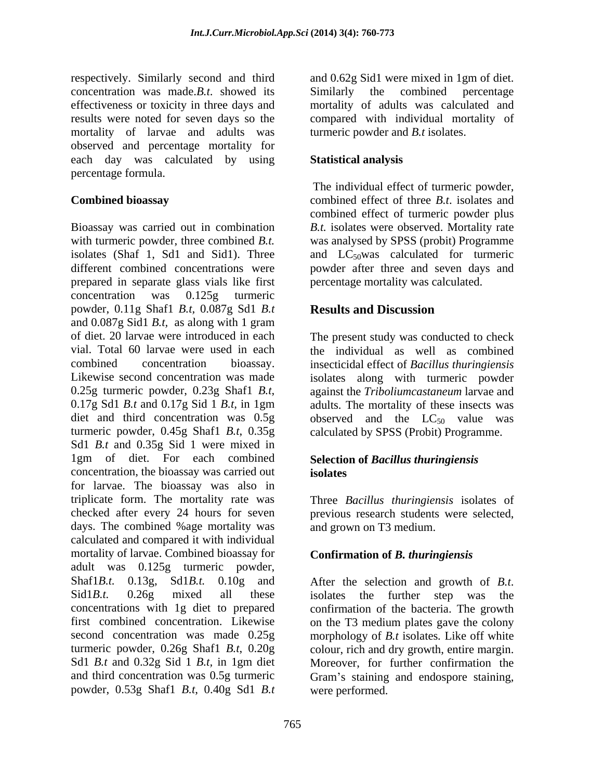respectively. Similarly second and third and 0.62g Sid1 were mixed in 1gm of diet. concentration was made.*B.t*. showed its effectiveness or toxicity in three days and results were noted for seven days so the compared with individual mortality of mortality of larvae and adults was observed and percentage mortality for each day was calculated by using Statistical analysis percentage formula.

Bioassay was carried out in combination *B.t.* isolates were observed. Mortality rate with turmeric powder, three combined *B.t.*  was analysed by SPSS (probit) Programme isolates (Shaf 1, Sd1 and Sid1). Three and  $LC_{50}$  was calculated for turmeric different combined concentrations were powder after three and seven days and prepared in separate glass vials like first concentration was 0.125g turmeric powder, 0.11g Shaf1 *B.t,* 0.087g Sd1 *B.t* and 0.087g Sid1 *B.t,* as along with 1 gram of diet. 20 larvae were introduced in each The present study was conducted to check vial. Total 60 larvae were used in each the individual as well as combined combined concentration bioassay. insecticidal effect of *Bacillus thuringiensis* Likewise second concentration was made isolates along with turmeric powder 0.25g turmeric powder, 0.23g Shaf1 *B.t*, against the *Triboliumcastaneum* larvae and 0.17g Sd1 *B.t* and 0.17g Sid 1 *B.t*, in 1gm adults. The mortality of these insects was diet and third concentration was  $0.5g$  observed and the  $LC_{50}$  value was turmeric powder, 0.45g Shaf1 *B.t*, 0.35g calculated by SPSS (Probit) Programme. Sd1 *B.t* and 0.35g Sid 1 were mixed in 1gm of diet. For each combined concentration, the bioassay was carried out for larvae. The bioassay was also in triplicate form. The mortality rate was Three *Bacillus thuringiensis* isolates of checked after every 24 hours for seven days. The combined %age mortality was calculated and compared it with individual mortality of larvae. Combined bioassay for adult was 0.125g turmeric powder, Shaf1*B.t.* 0.13g, Sd1*B.t.* 0.10g and After the selection and growth of *B.t.* Sid1*B.t.* 0.26g mixed all these isolates the further step was the concentrations with 1g diet to prepared confirmation of the bacteria. The growth first combined concentration. Likewise on the T3 medium plates gave the colony second concentration was made 0.25g morphology of *B.t* isolates*.* Like off white turmeric powder, 0.26g Shaf1 *B.t*, 0.20g colour, rich and dry growth, entire margin. Sd1 *B.t* and 0.32g Sid 1 *B.t,* in 1gm diet and third concentration was 0.5g turmeric Gram's staining and endospore staining, powder, 0.53g Shaf1 *B.t*, 0.40g Sd1 *B.t*

Similarly the combined mortality of adults was calculated and turmeric powder and *B.t* isolates.

### **Statistical analysis**

**Combined bioassay** combined effect of three *B.t*. isolates and The individual effect of turmeric powder, combined effect of turmeric powder plus percentage mortality was calculated.

# **Results and Discussion**

against the *Triboliumcastaneum* larvae and adults. The mortality of these insects was

### **Selection of** *Bacillus thuringiensis* **isolates**

previous research students were selected, and grown on T3 medium.

## **Confirmation of** *B. thuringiensis*

After the selection and growth of *B.t*.<br>isolates the further step was the Moreover, for further confirmation the were performed.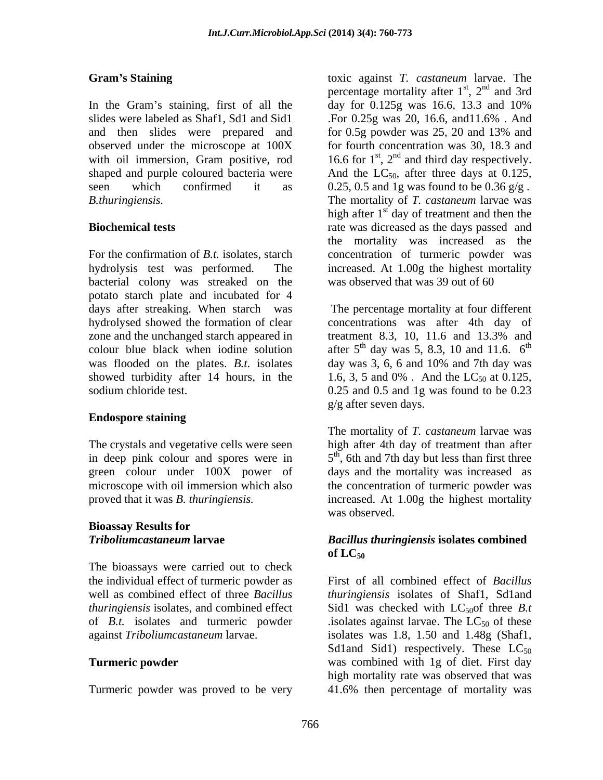In the Gram's staining, first of all the day for  $0.125g$  was  $16.6$ ,  $13.3$  and  $10\%$ slides were labeled as Shaf1, Sd1 and Sid1 For 0.25g was 20, 16.6, and 11.6%. And and then slides were prepared and for 0.5g powder was 25, 20 and 13% and

bacterial colony was streaked on the potato starch plate and incubated for 4 days after streaking. When starch was hydrolysed showed the formation of clear concentrations was after 4th day of zone and the unchanged starch appeared in treatment 8.3, 10, 11.6 and 13.3% and colour blue black when iodine solution after  $5<sup>th</sup>$  day was 5, 8.3, 10 and 11.6.  $6<sup>th</sup>$ was flooded on the plates. *B.t.* isolates day was 3, 6, 6 and 10% and 7th day was showed turbidity after 14 hours, in the  $1.6, 3, 5$  and 0%. And the LC<sub>50</sub> at 0.125, sodium chloride test. 0.25 and 0.5 and 1g was found to be 0.23

### **Endospore staining**

# **Bioassay Results for**

The bioassays were carried out to check of *B.t.* isolates and turmeric powder

Turmeric powder was proved to be very 41.6% then percentage of mortality was

**Gram s Staining** toxic against *T. castaneum* larvae. The observed under the microscope at 100X for fourth concentration was 30, 18.3 and with oil immersion, Gram positive, rod  $16.6$  for  $1<sup>st</sup>$ ,  $2<sup>nd</sup>$  and third day respectively. shaped and purple coloured bacteria were  $\qquad$  And the LC<sub>50</sub>, after three days at 0.125, seen which confirmed it as  $0.25, 0.5$  and 1g was found to be  $0.36 \frac{g}{g}$ . *B.thuringiensis.*  The mortality of *T. castaneum* larvae was **Biochemical tests** rate was dicreased as the days passed and For the confirmation of *B.t.* isolates, starch concentration of turmeric powder was hydrolysis test was performed. The increased. At 1.00g the highest mortality percentage mortality after 1<sup>st</sup>, 2<sup>nd</sup> and 3rd  $, 2<sup>nd</sup>$  and 3rd  $^{nd}$  and  $^{2rd}$ and 3rd day for 0.125g was 16.6, 13.3 and 10% .For 0.25g was 20, 16.6, and11.6% . And for 0.5g powder was 25, 20 and 13% and high after 1<sup>st</sup> day of treatment and then the the mortality was increased as the was observed that was 39 out of 60

> The percentage mortality at four different treatment 8.3, 10, 11.6 and 13.3% and the contract of the contract of the contract of the contract of the contract of the contract of the contract of the contract of the contract of the contract of the contract of the contract of the contract of the contract o day was 3, 6, 6 and 10% and 7th day was 1.6, 3, 5 and 0%. And the  $LC_{50}$  at 0.125, g/g after seven days.

The crystals and vegetative cells were seen high after 4th day of treatment than after in deep pink colour and spores were in  $5<sup>th</sup>$ , 6th and 7th day but less than first three green colour under 100X power of days and the mortality was increased as microscope with oil immersion which also the concentration of turmeric powder was proved that it was *B. thuringiensis.*  increased. At 1.00g the highest mortality The mortality of *T. castaneum* larvae was was observed.

### *Triboliumcastaneum* **larvae** *Bacillus thuringiensis* **isolates combined**   $\mathbf{Of} \mathbf{L}\mathbf{C}_{50}$

the individual effect of turmeric powder as First of all combined effect of *Bacillus*  well as combined effect of three *Bacillus thuringiensis* isolates of Shaf1, Sd1and *thuringiensis* isolates, and combined effect Sid1 was checked with LC<sub>50</sub>of three *B.t* against *Triboliumcastaneum* larvae. isolates was 1.8, 1.50 and 1.48g (Shaf1, **Turmeric powder was combined with 1g of diet. First day** .isolates against larvae. The  $LC_{50}$  of these Sd1and Sid1) respectively. These  $LC_{50}$ high mortality rate was observed that was 41.6% then percentage of mortality was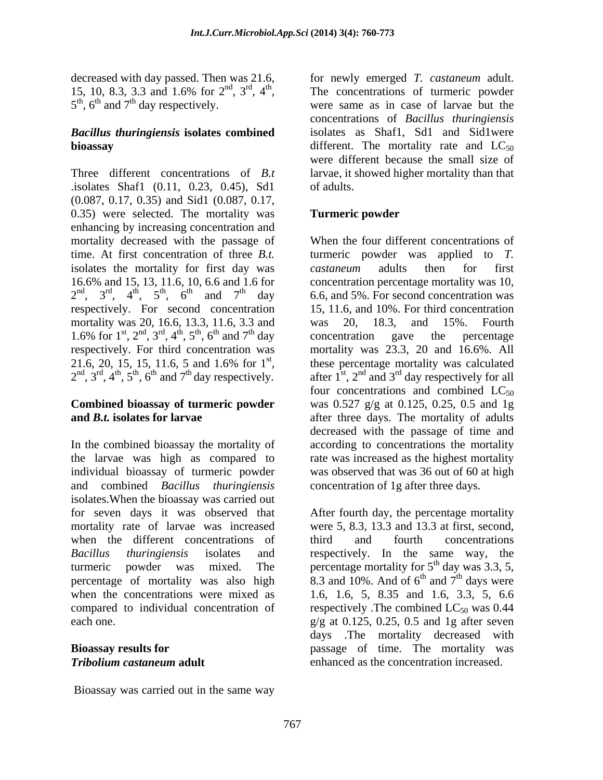Three different concentrations of *B.t* larvae, it showed higher mortality than that .isolates Shaf1 (0.11, 0.23, 0.45), Sd1 (0.087, 0.17, 0.35) and Sid1 (0.087, 0.17, 0.35) were selected. The mortality was **Turmeric powder** enhancing by increasing concentration and mortality decreased with the passage of time. At first concentration of three *B.t.* turmeric powder was applied to *T.* isolates the mortality for first day was *castaneum* adults then for first 16.6% and 15, 13, 11.6, 10, 6.6 and 1.6 for concentration percentage mortality was 10,  $2<sup>nd</sup>$ ,  $3<sup>rd</sup>$ ,  $4<sup>th</sup>$ ,  $5<sup>th</sup>$ ,  $6<sup>th</sup>$  and  $7<sup>th</sup>$  day 6.6, and 5%. For second concentration was respectively. For second concentration mortality was 20, 16.6, 13.3, 11.6, 3.3 and was 20, 18.3, and 15%. Fourth 1.6% for  $1^{st}$ ,  $2^{nd}$ ,  $3^{rd}$ ,  $4^{th}$ ,  $5^{th}$ ,  $6^{th}$  and  $7^{th}$  day concentration gave the percentage respectively. For third concentration was 21.6, 20, 15, 15, 11.6, 5 and 1.6% for  $1^{st}$ , these percentage mortality was calculated 21.6, 20, 15, 15, 11.6, 5 and 1.6% for 1<sup>st</sup>, these percentage mortality was calculated  $2<sup>nd</sup>$ , 3<sup>rd</sup>, 4<sup>th</sup>, 5<sup>th</sup>, 6<sup>th</sup> and 7<sup>th</sup> day respectively. after 1<sup>st</sup>, 2<sup>nd</sup> and 3<sup>rd</sup> day respectively for all

# **Combined bioassay of turmeric powder**

In the combined bioassay the mortality of according to concentrations the mortality the larvae was high as compared to rate was increased as the highest mortality individual bioassay of turmeric powder was observed that was 36 out of 60 at high and combined *Bacillus thuringiensis* isolates.When the bioassay was carried out for seven days it was observed that After fourth day, the percentage mortality mortality rate of larvae was increased were 5, 8.3, 13.3 and 13.3 at first, second, when the different concentrations of third and fourth concentrations *Bacillus thuringiensis* isolates and respectively. In the same way, the turmeric powder was mixed. The percentage mortality for  $5<sup>th</sup>$  day was 3.3, 5, percentage of mortality was also high when the concentrations were mixed as 1.6, 1.6, 5, 8.35 and 1.6, 3.3, 5, 6.6 compared to individual concentration of respectively. The combined  $LC_{50}$  was 0.44 each one.  $g/g$  at 0.125, 0.25, 0.5 and 1g after seven

Bioassay was carried out in the same way

decreased with day passed. Then was 21.6, for newly emerged *T. castaneum* adult. 15, 10, 8.3, 3.3 and 1.6% for  $2<sup>nd</sup>$ ,  $3<sup>rd</sup>$ ,  $4<sup>th</sup>$ , The concentrations of turmeric powder 15, 10, 8.3, 3.3 and 1.6% for  $2^{nd}$ ,  $3^{rd}$ ,  $4^{th}$ , The concentrations of turmeric powder  $5^{th}$ ,  $6^{th}$  and  $7^{th}$  day respectively.  $t<sup>th</sup>$ ,  $6<sup>th</sup>$  and  $7<sup>th</sup>$  day respectively. were same as in case of larvae but the *Bacillus thuringiensis* **isolates combined** isolates as Shaf1, Sd1 and Sid1were **bioassay** different. The mortality rate and  $LC_{50}$ concentrations of *Bacillus thuringiensis* were different because the small size of of adults.

## **Turmeric powder**

 $, 4<sup>th</sup>, 5<sup>th</sup>, 6<sup>th</sup>$  and  $7<sup>th</sup>$  day 6.6, and 5%. For second concentration was st, these percentage mortality was calculated **and** *B.t.* isolates for larvae after three days. The mortality of adults When the four different concentrations of *castaneum* adults then for first 15, 11.6, and 10%. For third concentration was 20, 18.3, and 15%. Fourth concentration gave the percentage mortality was 23.3, 20 and 16.6%. All four concentrations and combined  $LC_{50}$ was 0.527 g/g at 0.125, 0.25, 0.5 and 1g decreased with the passage of time and concentration of 1g after three days.

**Bioassay results for**  passage of time. The mortality was *Tribolium castaneum* **adult** third and fourth concentrations 8.3 and 10%. And of  $6^{th}$  and  $7^{th}$  days were  $^{th}$  and  $7^{th}$  days were and  $7<sup>th</sup>$  days were <sup>th</sup> days were days .The mortality decreased with enhanced as the concentration increased.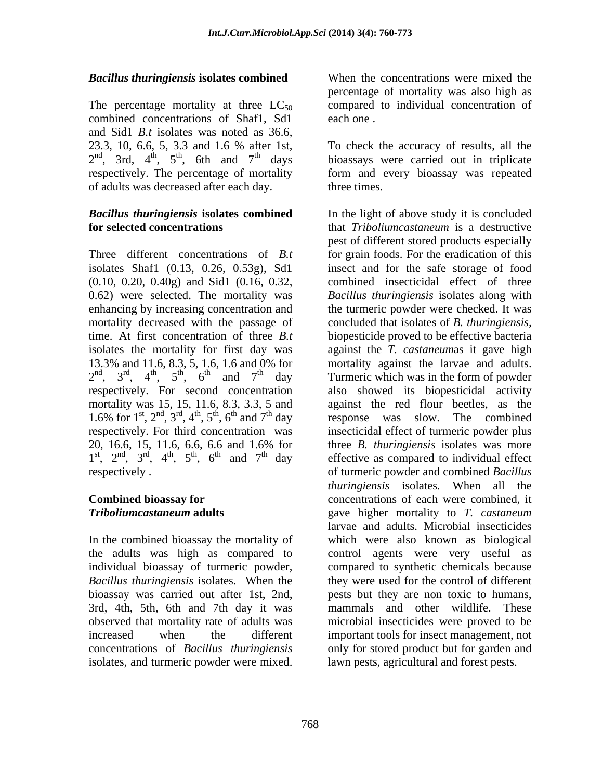combined concentrations of Shaf1, Sd1 each one. and Sid1 *B.t* isolates was noted as 36.6, 23.3, 10, 6.6, 5, 3.3 and 1.6 % after 1st, of adults was decreased after each day.

enhancing by increasing concentration and 1.6% for  $1^{st}$ ,  $2^{nd}$ ,  $3^{rd}$ ,  $4^{th}$ ,  $5^{th}$ ,  $6^{th}$  and  $7^{th}$  day

In the combined bioassay the mortality of individual bioassay of turmeric powder,

*Bacillus thuringiensis* **isolates combined** The percentage mortality at three  $LC_{50}$  compared to individual concentration of percentage of mortality was also high as each one.

 $2<sup>nd</sup>$ , 3rd,  $4<sup>th</sup>$ ,  $5<sup>th</sup>$ , 6th and  $7<sup>th</sup>$  days bioassays were carried out in triplicate  $t<sup>th</sup>$ ,  $5<sup>th</sup>$ , 6th and  $7<sup>th</sup>$  days bioassays were carried out in triplicate respectively. The percentage of mortality form and every bioassay was repeated To check the accuracy of results, all the three times.

*Bacillus thuringiensis* **isolates combined** In the light of above study it is concluded **for selected concentrations** that *Triboliumcastaneum* is a destructive Three different concentrations of *B.t* for grain foods. For the eradication of this isolates Shaf1 (0.13, 0.26, 0.53g), Sd1 insect and for the safe storage of food (0.10, 0.20, 0.40g) and Sid1 (0.16, 0.32, combined insecticidal effect of three 0.62) were selected. The mortality was *Bacillus thuringiensis* isolates along with mortality decreased with the passage of concluded that isolates of *B. thuringiensis,* time. At first concentration of three *B.t* biopesticide proved to be effective bacteria isolates the mortality for first day was against the *T. castaneum*as it gave high 13.3% and 11.6, 8.3, 5, 1.6, 1.6 and 0% for mortality against the larvae and adults.  $2<sup>nd</sup>$ ,  $3<sup>rd</sup>$ ,  $4<sup>th</sup>$ ,  $5<sup>th</sup>$ ,  $6<sup>th</sup>$  and  $7<sup>th</sup>$  day Turmeric which was in the form of powder ,  $3^{\text{rd}}$ ,  $4^{\text{th}}$ ,  $5^{\text{th}}$ ,  $6^{\text{th}}$  and  $7^{\text{th}}$  day Turmeric which was in the form of powder respectively. For second concentration also showed its biopesticidal activity mortality was 15, 15, 11.6, 8.3, 3.3, 5 and against the red flour beetles, as the respectively. For third concentration was insecticidal effect of turmeric powder plus 20, 16.6, 15, 11.6, 6.6, 6.6 and 1.6% for three *B. thuringiensis* isolates was more  $1^{\text{st}}$ ,  $2^{\text{nd}}$ ,  $3^{\text{rd}}$ ,  $4^{\text{th}}$ ,  $5^{\text{th}}$ ,  $6^{\text{th}}$  and  $7^{\text{th}}$  day effective as compared to individual effect ,  $3<sup>rd</sup>$ ,  $4<sup>th</sup>$ ,  $5<sup>th</sup>$ ,  $6<sup>th</sup>$  and  $7<sup>th</sup>$  day effective as compared to individual effect respectively . of turmeric powder and combined *Bacillus* **Combined bioassay for**  concentrations of each were combined, it *Triboliumcastaneum* **adults** gave higher mortality to *T. castaneum* the adults was high as compared to control agents were very useful as *Bacillus thuringiensis* isolates*.* When the they were used for the control of different bioassay was carried out after 1st, 2nd, pests but they are non toxic to humans, 3rd, 4th, 5th, 6th and 7th day it was mammals and other wildlife. These observed that mortality rate of adults was microbial insecticides were proved to be increased when the different important tools for insect management, not concentrations of *Bacillus thuringiensis* only for stored product but for garden and *Becillus thuringlensis* isolaties combined<br>
The the concentrations were mixed the concentrations<br>
The recoverage of morality was also high as<br>
conolined concentrations of Sharft. Salt encorence of including concentrations pest of different stored products especially the turmeric powder were checked. It was response was slow. The combined *thuringiensis* isolates*.* When all the larvae and adults. Microbial insecticides which were also known as biological compared to synthetic chemicals because lawn pests, agricultural and forest pests.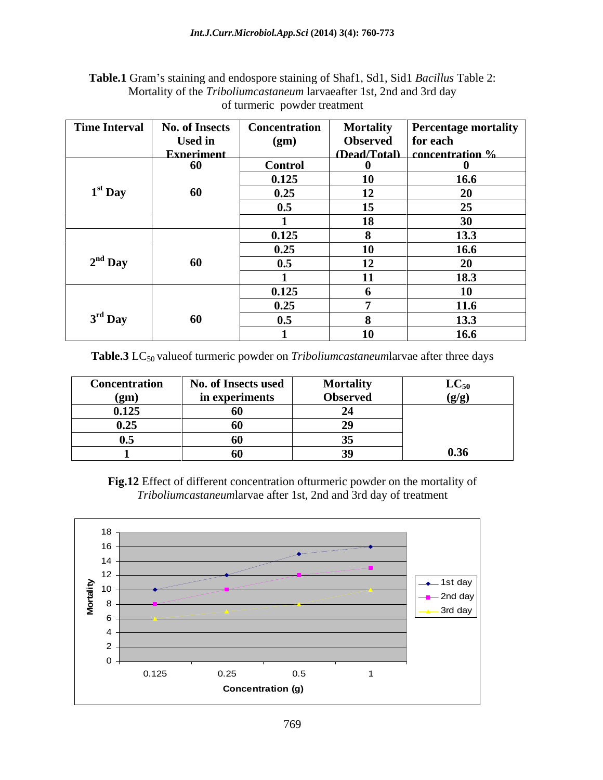| Table.1 Gram's staining and endospore staining of Shaf1, Sd1, Sid1 Bacillus Table 2: |  |
|--------------------------------------------------------------------------------------|--|
| Mortality of the <i>Triboliumcastaneum</i> larvaeafter 1st, 2nd and 3rd day          |  |
| of turmeric powder treatment                                                         |  |

|           |                   | Time Interval   No. of Insects   Concentration |                   | Mortality   Percentage mortality    |
|-----------|-------------------|------------------------------------------------|-------------------|-------------------------------------|
|           | <b>Used in</b>    | (gm)                                           | Observed for each |                                     |
|           | <b>Experiment</b> |                                                |                   | $\Box$ (Dead/Total) concentration % |
|           | - 60              | <b>Control</b>                                 |                   |                                     |
|           |                   | 0.125                                          | <b>10</b>         | 16.6                                |
| $1st$ Day | 60                | 0.25                                           | 12                |                                     |
|           |                   | - 11.                                          | 15                |                                     |
|           |                   |                                                | 18                | 30                                  |
|           |                   | 0.125                                          |                   | 13.3                                |
|           |                   | 0.25                                           | 10                | 16.6                                |
| $2nd$ Day | -60               | - 11                                           | 12                | 20 <sup>1</sup>                     |
|           |                   |                                                | $-11$             | 18.3                                |
|           |                   |                                                |                   | 10 <sup>7</sup>                     |
|           |                   | 0.125                                          |                   |                                     |
|           |                   | 0.25                                           |                   | 11.6                                |
| $3rd$ Day | -60               |                                                |                   | 13.3                                |
|           |                   |                                                | 10                | 16.6                                |

**Table.3** LC<sub>50</sub> valueof turmeric powder on *Triboliumcastaneumlarvae after three days* 

| <b>Concentration</b>            | <b>No. of Insects used</b> | <b>Mortality</b>                      | Т Л<br>$LC_{50}$ |
|---------------------------------|----------------------------|---------------------------------------|------------------|
| (gm)                            | in experiments             | <b>Observed</b>                       | (g/g)            |
| 0.125                           | -6U                        |                                       |                  |
| 0.25                            | -66                        |                                       |                  |
| $\mathbf{v} \, \mathbf{\omega}$ | $\sim$ $\sim$<br>'n        | $\sim$ $\sim$<br>$\ddot{\phantom{0}}$ |                  |
|                                 | -00                        |                                       | 0.36             |

**Fig.12** Effect of different concentration ofturmeric powder on the mortality of *Triboliumcastaneum*larvae after 1st, 2nd and 3rd day of treatment

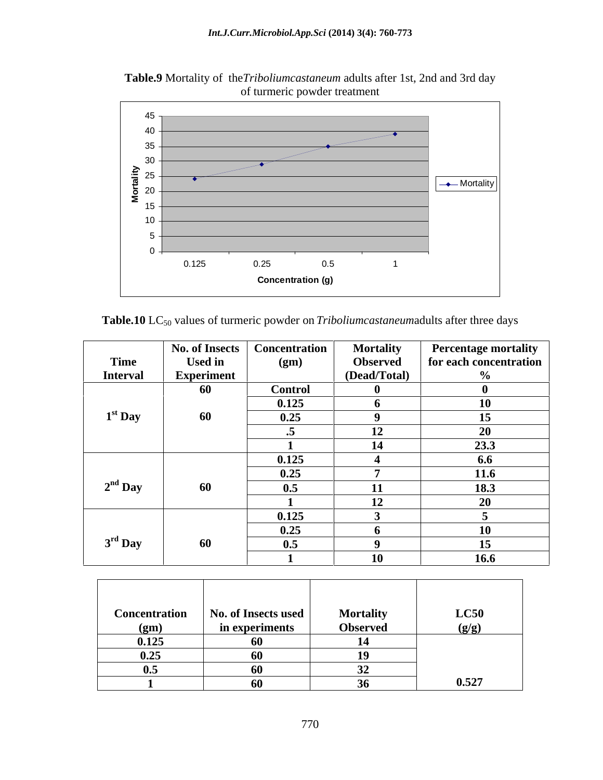

**M**

**Table.9** Mortality of the*Triboliumcastaneum* adults after 1st, 2nd and 3rd day

Table.10 LC<sub>50</sub> values of turmeric powder on *Triboliumcastaneum*adults after three days

 $0 +$   $\hspace{0.2cm}$  $5 -$ 10 15 20  $\leftarrow$  20  $\leftarrow$  20  $\leftarrow$  20  $\leftarrow$  20  $\leftarrow$  20  $\leftarrow$  20  $\leftarrow$  20  $\leftarrow$  20  $\leftarrow$  20  $\leftarrow$  20  $\leftarrow$  20  $\leftarrow$  20  $\leftarrow$  20  $\leftarrow$  20  $\leftarrow$  20  $\leftarrow$  20  $\leftarrow$  20  $\leftarrow$  20  $\leftarrow$  20  $\leftarrow$  20  $\leftarrow$  20  $\leftarrow$  20  $\leftarrow$  20  $\leftarrow$  20  $\$ 25

 $\frac{1}{20}$  25<br> $\frac{1}{20}$  25<br> $\frac{1}{20}$   $\frac{1}{20}$   $\frac{1}{20}$   $\frac{1}{20}$   $\frac{1}{20}$   $\frac{1}{20}$   $\frac{1}{20}$   $\frac{1}{20}$   $\frac{1}{20}$   $\frac{1}{20}$   $\frac{1}{20}$   $\frac{1}{20}$   $\frac{1}{20}$   $\frac{1}{20}$   $\frac{1}{20}$   $\frac{1}{20}$   $\frac{1}{20}$   $\frac{1}{$ 

0.125 0.25 0.5 1

**Concentration (g)**

Mortality  $||$ 

|                 | No. of Insects   Concentration |                | <b>Mortality</b> | <b>Percentage mortality</b> |
|-----------------|--------------------------------|----------------|------------------|-----------------------------|
| Time            | <b>Used in</b>                 | (gm)           | <b>Observed</b>  | for each concentration      |
| <b>Interval</b> | Experiment                     |                | (Dead/Total)     |                             |
|                 | 60                             | <b>Control</b> |                  |                             |
|                 |                                | 0.125          |                  | <b>10</b>                   |
| $1st$ Day       | 60                             | 0.25           |                  | 15 <sup>15</sup>            |
|                 |                                |                | 12               | -20                         |
|                 |                                |                | 14               | $\frac{23.3}{6.6}$          |
|                 |                                | 0.125          |                  |                             |
|                 |                                | 0.25           |                  | 11.6                        |
| $2nd$ Day       | 60                             | 0.5            |                  | 18.3                        |
|                 |                                |                | 12               |                             |
|                 |                                | 0.125          |                  |                             |
|                 |                                | 0.25           |                  | 10                          |
| $3rd$ Day       | 60                             | 0.5            |                  | 15                          |
|                 |                                |                | 10               | 16.6                        |

| <b>Concentration</b> | No. of Insects used | <b>Mortality</b> | LC50  |
|----------------------|---------------------|------------------|-------|
| (gm)                 | in experiments      | <b>Observed</b>  | (g/g) |
| 0.125                | -60                 |                  |       |
| 0.25                 | -60                 | 10               |       |
| 0.5                  | 60                  |                  |       |
|                      | -60                 |                  | 0.527 |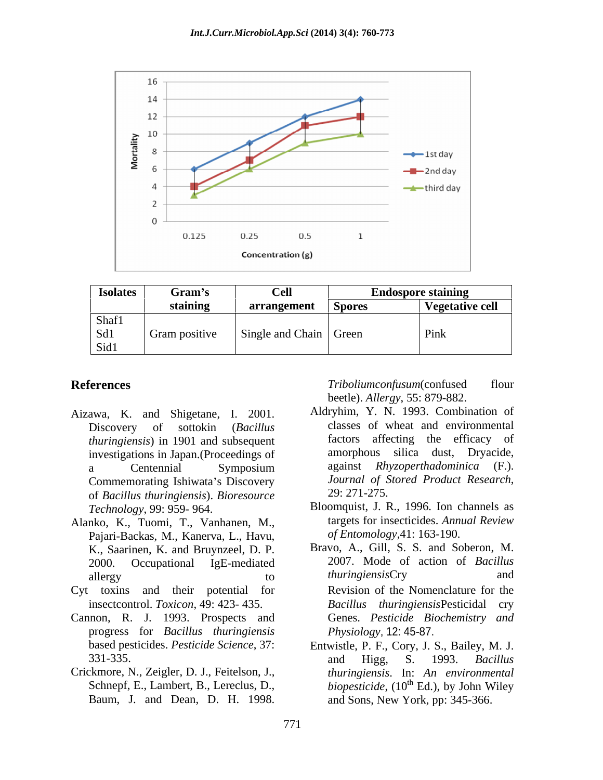

| <b>Isolates</b> | Gram's        | <b>Cell</b><br><b>Endospore staining</b> |        |                 |
|-----------------|---------------|------------------------------------------|--------|-----------------|
|                 | staining      | arrangement                              | Spores | Vegetative cell |
| Shaf1           |               |                                          |        |                 |
| Sd1             | Gram positive | Single and Chain Green                   |        | Pink            |
| Sid1            |               |                                          |        |                 |

- Aizawa, K. and Shigetane, I. 2001. *thuringiensis*) in 1901 and subsequent investigations in Japan.(Proceedings of of *Bacillus thuringiensis*). *Bioresource*
- Alanko, K., Tuomi, T., Vanhanen, M., Pajari-Backas, M., Kanerva, L., Havu, K., Saarinen, K. and Bruynzeel, D. P.
- 
- Cannon, R. J. 1993. Prospects and progress for *Bacillus thuringiensis*
- Crickmore, N., Zeigler, D. J., Feitelson, J.,

**References** Triboliumconfusum(confused flour beetle). *Allergy*, 55: 879-882.

- Discovery of sottokin (*Bacillus*  classes of wheat and environmental a Centennial Symposium against Rhyzoperthadominica (F.). Commemorating Ishiwata's Discovery<br>
of Bacillus thuringiensis) Bioresource<br>
29: 271-275. Aldryhim, Y. N. 1993. Combination of factors affecting the efficacy of amorphous silica dust, Dryacide, against *Rhyzoperthadominica* (F.). *Journal of Stored Product Research*, 29: 271-275.
- *Technology*, 99: 959- 964. Bloomquist, J. R., 1996. Ion channels as targets for insecticides. *Annual Review of Entomology,*41: 163-190.
- 2000. Occupational IgE-mediated 2007. Mode of action of *Bacillus*  allergy and to thuring iensisCry and and and the same to the third of the three to the three to the top three t Bravo, A., Gill, S. S. and Soberon, M. *thuringiensis*Cry and Cyt toxins and their potential for Revision of the Nomenclature for the insectcontrol. *Toxicon*, 49: 423- 435. *Bacillus thuringiensis*Pesticidal cry Genes. *Pesticide Biochemistry and Physiology*, 12: 45-87.
	- based pesticides. *Pesticide Science*, 37: Entwistle, P. F., Cory, J. S., Bailey, M. J. 331-335. **and Higg, S. 1993.** *Bacillus* Schnepf, E., Lambert, B., Lereclus, D., *biopesticide*, (10<sup>th</sup> Ed.), by John Wiley toxins and their potential for<br>
	insectcontrol. Toxicon, 49: 423- 435.<br>
	Bacillus thuringiensisPesticidal cry<br>
	non, R. J. 1993. Prospects and<br>
	progress for *Bacillus thuringiensis*<br>
	based pesticides. Pesticide Science, 37:<br> and Higg, S. 1993. *Bacillus thuringiensis*. In: *An environmental* <sup>th</sup> Ed.), by John Wiley and Sons, New York, pp: 345-366.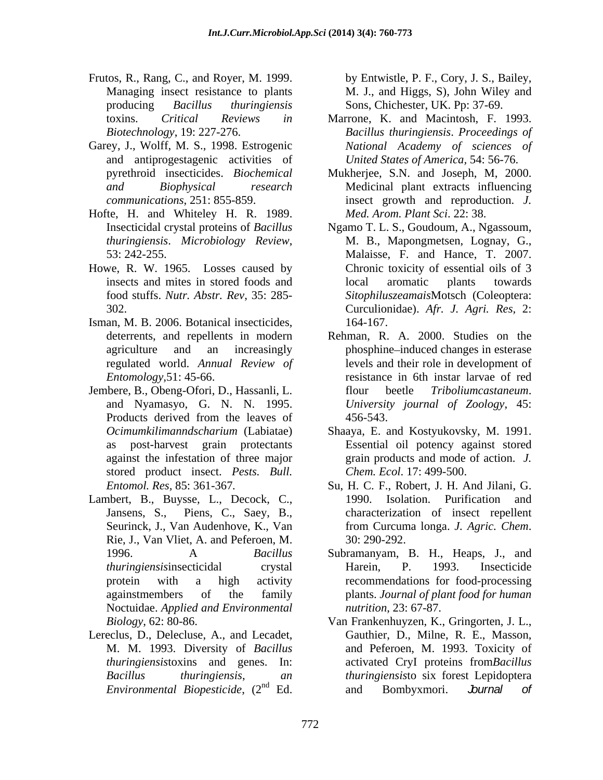- Frutos, R., Rang, C., and Royer, M. 1999. Managing insect resistance to plants M. J., and Higgs, S), John Wiley and producing *Bacillus thuringiensis* Sons, Chichester, UK. Pp: 37-69.
- Garey, J., Wolff, M. S., 1998. Estrogenic and antiprogestagenic activities of
- Hofte, H. and Whiteley H. R. 1989. Med. Arom. Plant Sci. 22: 38.
- Howe, R. W. 1965. Losses caused by
- Isman, M. B. 2006. Botanical insecticides,
- Jembere, B., Obeng-Ofori, D., Hassanli, L. flour beetle Tribolium castaneum. stored product insect. *Pests. Bull.*
- Lambert, B., Buysse, L., Decock, C., Rie, J., Van Vliet, A. and Peferoen, M. Noctuidae. *Applied and Environmental*
- Lereclus, D., Delecluse, A., and Lecadet, Gauthier, D., Milne, R. E., Masson,

by Entwistle, P. F., Cory, J. S., Bailey,

- toxins. *Critical Reviews in* Marrone, K. and Macintosh, F. 1993. *Biotechnology*, 19: 227-276. *Bacillus thuringiensis*. *Proceedings of National Academy of sciences of United States of America,* 54: 56-76.
- pyrethroid insecticides. *Biochemical*  Mukherjee, S.N. and Joseph, M, 2000. *and Biophysical research* Medicinal plant extracts influencing *communications*, 251: 855-859. insect growth and reproduction. *J. Med. Arom. Plant Sci*. 22: 38.
- Insecticidal crystal proteins of *Bacillus*  Ngamo T. L. S., Goudoum, A., Ngassoum, *thuringiensis*. *Microbiology Review*, 53: 242-255. insects and mites in stored foods and local aromatic plants towards food stuffs. *Nutr. Abstr. Rev*, 35: 285- *Sitophiluszeamais*Motsch (Coleoptera: 302. Curculionidae). *Afr. J. Agri. Res,* 2: M. B., Mapongmetsen, Lognay, G., Malaisse, F. and Hance, T. 2007. Chronic toxicity of essential oils of 3 local aromatic plants towards 164-167.
- deterrents, and repellents in modern Rehman, R. A. 2000. Studies on the agriculture and an increasingly phosphine induced changes in esterase regulated world. *Annual Review of* levelsand their role in development of *Entomology,*51: 45-66. resistance in 6th instar larvae of red and Nyamasyo, G. N. N. 1995. *University journal of Zoology*, 45: Products derived from the leaves of  $456-543$ . flour beetle *Triboliumcastaneum*. 456-543.
- *Ocimumkilimanndscharium* (Labiatae) Shaaya, E. and Kostyukovsky, M. 1991. as post-harvest grain protectants Essential oil potency against stored against the infestation of three major grain products and mode of action. *J. Chem. Ecol*. 17: 499-500.
- *Entomol. Res,* 85: 361-367*.* Su, H. C. F., Robert, J. H. And Jilani, G. Jansens, S., Piens, C., Saey, B., characterization of insect repellent Seurinck, J., Van Audenhove, K., Van from Curcuma longa. J. Agric. Chem. 1990. Isolation. Purification and from Curcuma longa. *J. Agric. Chem*. 30: 290-292.
- 1996. A *Bacillus*  Subramanyam, B. H., Heaps, J., and *thuringiensis*insecticidal crystal protein with a high activity recommendations for food-processing againstmembers of the family plants. *Journal of plant food for human*  Harein, P. 1993. Insecticide *nutrition*, 23: 67-87.
- *Biology*, 62: 80-86. Van Frankenhuyzen, K., Gringorten, J. L., M. M. 1993. Diversity of *Bacillus* and Peferoen, M. 1993. Toxicity of *thuringiensis*toxins and genes. In: activated CryI proteins from*Bacillus Bacillus thuringiensis*, *an thuringiensis*to six forest Lepidoptera *Environmental Biopesticide*, (2 <sup>nd</sup> Ed. and Bombyxmori. *burnal* of Van Frankenhuyzen, K., Gringorten, J. L., Gauthier, D., Milne, R. E., Masson, and Bombyxmori. *Journal of*